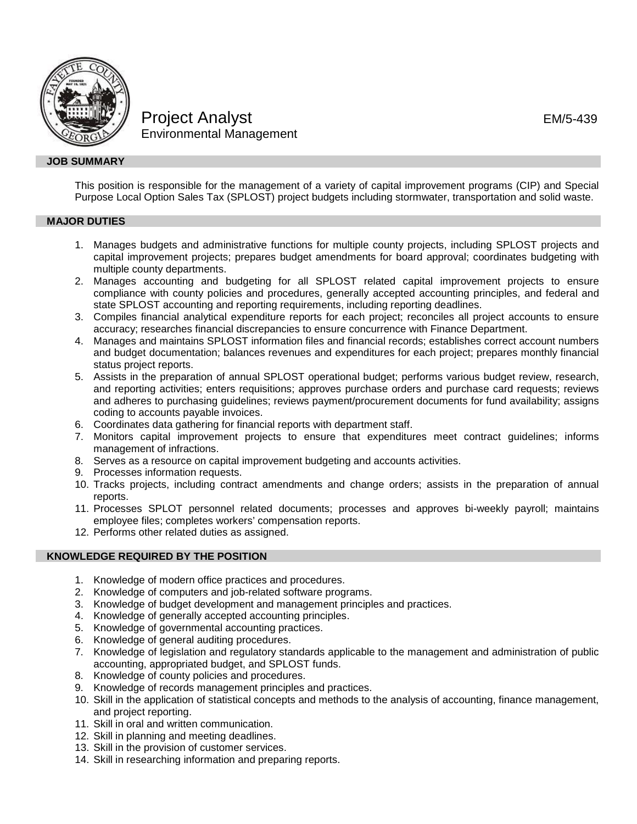

# Project Analyst **EM/5-439** Environmental Management

## **JOB SUMMARY**

This position is responsible for the management of a variety of capital improvement programs (CIP) and Special Purpose Local Option Sales Tax (SPLOST) project budgets including stormwater, transportation and solid waste.

# **MAJOR DUTIES**

- 1. Manages budgets and administrative functions for multiple county projects, including SPLOST projects and capital improvement projects; prepares budget amendments for board approval; coordinates budgeting with multiple county departments.
- 2. Manages accounting and budgeting for all SPLOST related capital improvement projects to ensure compliance with county policies and procedures, generally accepted accounting principles, and federal and state SPLOST accounting and reporting requirements, including reporting deadlines.
- 3. Compiles financial analytical expenditure reports for each project; reconciles all project accounts to ensure accuracy; researches financial discrepancies to ensure concurrence with Finance Department.
- 4. Manages and maintains SPLOST information files and financial records; establishes correct account numbers and budget documentation; balances revenues and expenditures for each project; prepares monthly financial status project reports.
- 5. Assists in the preparation of annual SPLOST operational budget; performs various budget review, research, and reporting activities; enters requisitions; approves purchase orders and purchase card requests; reviews and adheres to purchasing guidelines; reviews payment/procurement documents for fund availability; assigns coding to accounts payable invoices.
- 6. Coordinates data gathering for financial reports with department staff.
- 7. Monitors capital improvement projects to ensure that expenditures meet contract guidelines; informs management of infractions.
- 8. Serves as a resource on capital improvement budgeting and accounts activities.
- 9. Processes information requests.
- 10. Tracks projects, including contract amendments and change orders; assists in the preparation of annual reports.
- 11. Processes SPLOT personnel related documents; processes and approves bi-weekly payroll; maintains employee files; completes workers' compensation reports.
- 12. Performs other related duties as assigned.

## **KNOWLEDGE REQUIRED BY THE POSITION**

- 1. Knowledge of modern office practices and procedures.
- 2. Knowledge of computers and job-related software programs.
- 3. Knowledge of budget development and management principles and practices.
- 4. Knowledge of generally accepted accounting principles.
- 5. Knowledge of governmental accounting practices.
- 6. Knowledge of general auditing procedures.
- 7. Knowledge of legislation and regulatory standards applicable to the management and administration of public accounting, appropriated budget, and SPLOST funds.
- 8. Knowledge of county policies and procedures.
- 9. Knowledge of records management principles and practices.
- 10. Skill in the application of statistical concepts and methods to the analysis of accounting, finance management, and project reporting.
- 11. Skill in oral and written communication.
- 12. Skill in planning and meeting deadlines.
- 13. Skill in the provision of customer services.
- 14. Skill in researching information and preparing reports.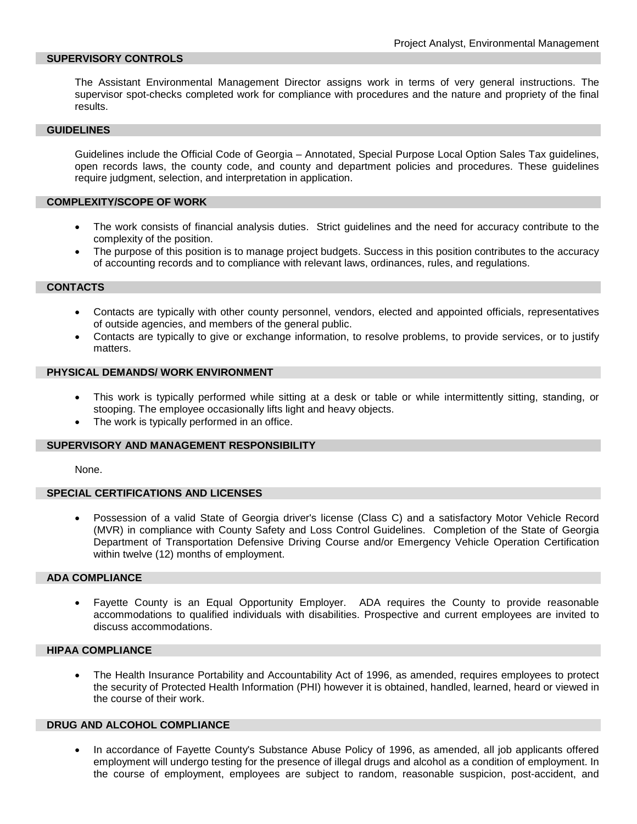## **SUPERVISORY CONTROLS**

The Assistant Environmental Management Director assigns work in terms of very general instructions. The supervisor spot-checks completed work for compliance with procedures and the nature and propriety of the final results.

#### **GUIDELINES**

Guidelines include the Official Code of Georgia – Annotated, Special Purpose Local Option Sales Tax guidelines, open records laws, the county code, and county and department policies and procedures. These guidelines require judgment, selection, and interpretation in application.

#### **COMPLEXITY/SCOPE OF WORK**

- The work consists of financial analysis duties. Strict guidelines and the need for accuracy contribute to the complexity of the position.
- The purpose of this position is to manage project budgets. Success in this position contributes to the accuracy of accounting records and to compliance with relevant laws, ordinances, rules, and regulations.

#### **CONTACTS**

- Contacts are typically with other county personnel, vendors, elected and appointed officials, representatives of outside agencies, and members of the general public.
- Contacts are typically to give or exchange information, to resolve problems, to provide services, or to justify matters.

#### **PHYSICAL DEMANDS/ WORK ENVIRONMENT**

- This work is typically performed while sitting at a desk or table or while intermittently sitting, standing, or stooping. The employee occasionally lifts light and heavy objects.
- The work is typically performed in an office.

## **SUPERVISORY AND MANAGEMENT RESPONSIBILITY**

None.

#### **SPECIAL CERTIFICATIONS AND LICENSES**

• Possession of a valid State of Georgia driver's license (Class C) and a satisfactory Motor Vehicle Record (MVR) in compliance with County Safety and Loss Control Guidelines. Completion of the State of Georgia Department of Transportation Defensive Driving Course and/or Emergency Vehicle Operation Certification within twelve (12) months of employment.

## **ADA COMPLIANCE**

• Fayette County is an Equal Opportunity Employer. ADA requires the County to provide reasonable accommodations to qualified individuals with disabilities. Prospective and current employees are invited to discuss accommodations.

# **HIPAA COMPLIANCE**

• The Health Insurance Portability and Accountability Act of 1996, as amended, requires employees to protect the security of Protected Health Information (PHI) however it is obtained, handled, learned, heard or viewed in the course of their work.

#### **DRUG AND ALCOHOL COMPLIANCE**

• In accordance of Fayette County's Substance Abuse Policy of 1996, as amended, all job applicants offered employment will undergo testing for the presence of illegal drugs and alcohol as a condition of employment. In the course of employment, employees are subject to random, reasonable suspicion, post-accident, and